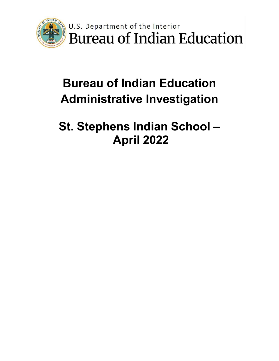

# Bureau of Indian Education Administrative Investigation

St. Stephens Indian School – April 2022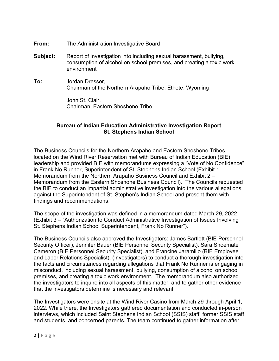| From:    | The Administration Investigative Board                                                                                                                     |
|----------|------------------------------------------------------------------------------------------------------------------------------------------------------------|
| Subject: | Report of investigation into including sexual harassment, bullying,<br>consumption of alcohol on school premises, and creating a toxic work<br>environment |
| To:      | Jordan Dresser,<br>Chairman of the Northern Arapaho Tribe, Ethete, Wyoming                                                                                 |
|          | John St. Clair,<br>Chairman, Eastern Shoshone Tribe                                                                                                        |

#### Bureau of Indian Education Administrative Investigation Report St. Stephens Indian School

The Business Councils for the Northern Arapaho and Eastern Shoshone Tribes, located on the Wind River Reservation met with Bureau of Indian Education (BIE) leadership and provided BIE with memorandums expressing a "Vote of No Confidence" in Frank No Runner, Superintendent of St. Stephens Indian School (Exhibit 1 – Memorandum from the Northern Arapaho Business Council and Exhibit 2 – Memorandum from the Eastern Shoshone Business Council). The Councils requested the BIE to conduct an impartial administrative investigation into the various allegations against the Superintendent of St. Stephen's Indian School and present them with findings and recommendations.

The scope of the investigation was defined in a memorandum dated March 29, 2022 (Exhibit 3 – "Authorization to Conduct Administrative Investigation of Issues Involving St. Stephens Indian School Superintendent, Frank No Runner").

The Business Councils also approved the Investigators: James Bartlett (BIE Personnel Security Officer), Jennifer Bauer (BIE Personnel Security Specialist), Sara Shoemate Cameron (BIE Personnel Security Specialist), and Francine Jaramillo (BIE Employee and Labor Relations Specialist), (Investigators) to conduct a thorough investigation into the facts and circumstances regarding allegations that Frank No Runner is engaging in misconduct, including sexual harassment, bullying, consumption of alcohol on school premises, and creating a toxic work environment. The memorandum also authorized the investigators to inquire into all aspects of this matter, and to gather other evidence that the investigators determine is necessary and relevant.

The Investigators were onsite at the Wind River Casino from March 29 through April 1, 2022. While there, the Investigators gathered documentation and conducted in-person interviews, which included Saint Stephens Indian School (SSIS) staff, former SSIS staff and students, and concerned parents. The team continued to gather information after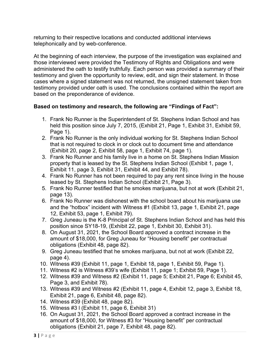returning to their respective locations and conducted additional interviews telephonically and by web-conference.

At the beginning of each interview, the purpose of the investigation was explained and those interviewed were provided the Testimony of Rights and Obligations and were administered the oath to testify truthfully. Each person was provided a summary of their testimony and given the opportunity to review, edit, and sign their statement. In those cases where a signed statement was not returned, the unsigned statement taken from testimony provided under oath is used. The conclusions contained within the report are based on the preponderance of evidence.

## Based on testimony and research, the following are "Findings of Fact":

- 1. Frank No Runner is the Superintendent of St. Stephens Indian School and has held this position since July 7, 2015, (Exhibit 21, Page 1, Exhibit 31, Exhibit 59, Page 1).
- 2. Frank No Runner is the only individual working for St. Stephens Indian School that is not required to clock in or clock out to document time and attendance (Exhibit 20, page 2, Exhibit 58, page 1, Exhibit 74, page 1).
- 3. Frank No Runner and his family live in a home on St. Stephens Indian Mission property that is leased by the St. Stephens Indian School (Exhibit 1, page 1, Exhibit 11, page 3, Exhibit 31, Exhibit 44, and Exhibit 78).
- 4. Frank No Runner has not been required to pay any rent since living in the house leased by St. Stephens Indian School (Exhibit 21, Page 3).
- 5. Frank No Runner testified that he smokes marijuana, but not at work (Exhibit 21, page 13).
- 6. Frank No Runner was dishonest with the school board about his marijuana use and the "hotbox" incident with Witness #1 (Exhibit 13, page 1, Exhibit 21, page 12, Exhibit 53, page 1, Exhibit 79).
- 7. Greg Juneau is the K-8 Principal of St. Stephens Indian School and has held this position since SY18-19, (Exhibit 22, page 1, Exhibit 30, Exhibit 31).
- 8. On August 31, 2021, the School Board approved a contract increase in the amount of \$18,000, for Greg Juneau for "Housing benefit" per contractual obligations (Exhibit 48, page 82).
- 9. Greg Juneau testified that he smokes marijuana, but not at work (Exhibit 22, page 4).
- 10. Witness #39 (Exhibit 11, page 1, Exhibit 18, page 1, Exhibit 59, Page 1).
- 11. Witness #2 is Witness #39's wife (Exhibit 11, page 1; Exhibit 59, Page 1).
- 12. Witness #39 and Witness #2 (Exhibit 11, page 5; Exhibit 21, Page 6; Exhibit 45, Page 3, and Exhibit 78).
- 13. Witness #39 and Witness #2 (Exhibit 11, page 4, Exhibit 12, page 3, Exhibit 18, Exhibit 21, page 6, Exhibit 48, page 82).
- 14. Witness #39 (Exhibit 48, page 82).
- 15. Witness #3 l (Exhibit 11, page 6, Exhibit 31)
- 16. On August 31, 2021, the School Board approved a contract increase in the amount of \$18,000, for Witness #3 for "Housing benefit" per contractual obligations (Exhibit 21, page 7, Exhibit 48, page 82).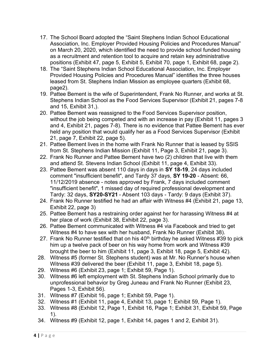- 17. The School Board adopted the "Saint Stephens Indian School Educational Association, Inc. Employer Provided Housing Policies and Procedures Manual" on March 20, 2020, which identified the need to provide school funded housing as a recruitment and retention tool to acquire and retain key administrative positions (Exhibit 47, page 5, Exhibit 5, Exhibit 70, page 1, Exhibit 68, page 2).
- 18. The "Saint Stephens Indian School Educational Association, Inc. Employer Provided Housing Policies and Procedures Manual" identifies the three houses leased from St. Stephens Indian Mission as employee quarters (Exhibit 68, page2).
- 19. Pattee Bement is the wife of Superintendent, Frank No Runner, and works at St. Stephens Indian School as the Food Services Supervisor (Exhibit 21, pages 7-8 and 15, Exhibit 31,).
- 20. Pattee Bement was reassigned to the Food Services Supervisor position, without the job being competed and with an increase in pay (Exhibit 11, pages 3 and 4, Exhibit 21, pages 7-8). There is no evidence that Pattee Bement has ever held any position that would qualify her as a Food Services Supervisor (Exhibit 21, page 7, Exhibit 22, page 5).
- 21. Pattee Bement lives in the home with Frank No Runner that is leased by SSIS from St. Stephens Indian Mission (Exhibit 11, Page 3, Exhibit 21, page 3).
- 22. Frank No Runner and Pattee Bement have two (2) children that live with them and attend St. Stevens Indian School (Exhibit 11, page 4, Exhibit 33).
- 23. Pattee Bement was absent 110 days in days in SY 18-19, 24 days included comment "insufficient benefit", and Tardy 37 days, SY 19-20 - Absent: 66, 11/12/2019 absence - notes approved by Frank, 7 days included comment "insufficient benefit", 1 missed day of required professional development and Tardy: 32 days, **SY20-SY21** - Absent 103 days - Tardy: 9 days (Exhibit 37).
- 24. Frank No Runner testified he had an affair with Witness #4 (Exhibit 21, page 13, Exhibit 22, page 3)
- 25. Pattee Bement has a restraining order against her for harassing Witness #4 at her place of work (Exhibit 38, Exhibit 22, page 3).
- 26. Pattee Bement communicated with Witness #4 via Facebook and tried to get Witness #4 to have sex with her husband, Frank No Runner (Exhibit 38).
- 27. Frank No Runner testified that on his  $40<sup>th</sup>$  birthday he asked Witness #39 to pick him up a twelve pack of beer on his way home from work and Witness #39 brought the beer to him (Exhibit 11, page 3, Exhibit 18, page 5, Exhibit 42).
- 28. Witness #5 (former St. Stephens student) was at Mr. No Runner's house when Witness #39 delivered the beer (Exhibit 11, page 3, Exhibit 18, page 5).
- 29. Witness #6 (Exhibit 23, page 1; Exhibit 59, Page 1).
- 30. Witness #6 left employment with St. Stephens Indian School primarily due to unprofessional behavior by Greg Juneau and Frank No Runner (Exhibit 23, Pages 1-3, Exhibit 56).
- 31. Witness #7 (Exhibit 16, page 1; Exhibit 59, Page 1).
- 32. Witness #1 (Exhibit 11, page 4, Exhibit 13, page 1; Exhibit 59, Page 1).
- 33. Witness #8 (Exhibit 12, Page 1, Exhibit 16, Page 1; Exhibit 31, Exhibit 59, Page 1).
- 34. Witness #9 (Exhibit 12, page 1, Exhibit 14, pages 1 and 2, Exhibit 31).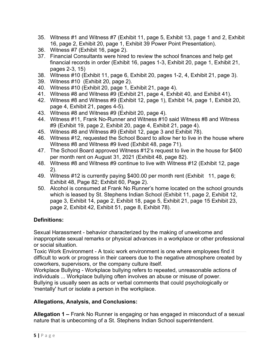- 35. Witness #1 and Witness #7 (Exhibit 11, page 5, Exhibit 13, page 1 and 2, Exhibit 16, page 2, Exhibit 20, page 1, Exhibit 39 Power Point Presentation).
- 36. Witness #7 (Exhibit 16, page 2).
- 37. Financial Consultants were hired to review the school finances and help get financial records in order (Exhibit 16, pages 1-3, Exhibit 20, page 1, Exhibit 21, pages 2-3, 15)
- 38. Witness #10 (Exhibit 11, page 6, Exhibit 20, pages 1-2, 4, Exhibit 21, page 3).
- 39. Witness #10 (Exhibit 20, page 2).
- 40. Witness #10 (Exhibit 20, page 1, Exhibit 21, page 4).
- 41. Witness #8 and Witness #9 (Exhibit 21, page 4, Exhibit 40, and Exhibit 41).
- 42. Witness #8 and Witness #9 (Exhibit 12, page 1), Exhibit 14, page 1, Exhibit 20, page 4, Exhibit 21, pages 4-5).
- 43. Witness #8 and Witness #9 (Exhibit 20, page 4).
- 44. Witness #11, Frank No-Runner and Witness #10 said Witness #8 and Witness #9 (Exhibit 19, page 2, Exhibit 20, page 4, Exhibit 21, page 4).
- 45. Witness #8 and Witness #9 (Exhibit 12, page 3 and Exhibit 78).
- 46. Witness #12, requested the School Board to allow her to live in the house where Witness #8 and Witness #9 lived (Exhibit 48, page 71).
- 47. The School Board approved Witness #12's request to live in the house for \$400 per month rent on August 31, 2021 (Exhibit 48, page 82).
- 48. Witness #8 and Witness #9 continue to live with Witness #12 (Exhibit 12, page 2).
- 49. Witness #12 is currently paying \$400.00 per month rent (Exhibit 11, page 6; Exhibit 48, Page 82; Exhibit 60, Page 2).
- 50. Alcohol is consumed at Frank No Runner's home located on the school grounds which is leased by St. Stephens Indian School (Exhibit 11, page 2, Exhibit 12, page 3, Exhibit 14, page 2, Exhibit 18, page 5, Exhibit 21, page 15 Exhibit 23, page 2, Exhibit 42, Exhibit 51, page 8, Exhibit 78).

# Definitions:

Sexual Harassment - behavior characterized by the making of unwelcome and inappropriate sexual remarks or physical advances in a workplace or other professional or social situation.

Toxic Work Environment - A toxic work environment is one where employees find it difficult to work or progress in their careers due to the negative atmosphere created by coworkers, supervisors, or the company culture itself.

Workplace Bullying - Workplace bullying refers to repeated, unreasonable actions of individuals ... Workplace bullying often involves an abuse or misuse of power. Bullying is usually seen as acts or verbal comments that could psychologically or 'mentally' hurt or isolate a person in the workplace.

# Allegations, Analysis, and Conclusions:

Allegation 1 – Frank No Runner is engaging or has engaged in misconduct of a sexual nature that is unbecoming of a St. Stephens Indian School superintendent.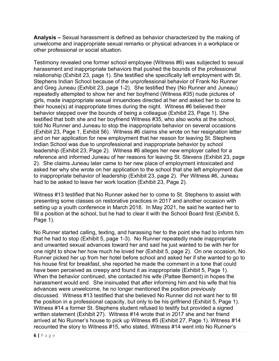Analysis – Sexual harassment is defined as behavior characterized by the making of unwelcome and inappropriate sexual remarks or physical advances in a workplace or other professional or social situation.

Testimony revealed one former school employee (Witness #6) was subjected to sexual harassment and inappropriate behaviors that pushed the bounds of the professional relationship (Exhibit 23, page 1). She testified she specifically left employment with St. Stephens Indian School because of the unprofessional behavior of Frank No Runner and Greg Juneau (Exhibit 23, page 1-2). She testified they (No Runner and Juneau) repeatedly attempted to show her and her boyfriend (Witness #35) nude pictures of girls, made inappropriate sexual innuendoes directed at her and asked her to come to their house(s) at inappropriate times during the night. Witness #6 believed their behavior stepped over the bounds of being a colleague (Exhibit 23, Page 1). She testified that both she and her boyfriend Witness #35, who also works at the school, told No Runner and Juneau to stop the inappropriate behavior on several occasions (Exhibit 23, Page 1, Exhibit 56). Witness #6 claims she wrote on her resignation letter and on her application for new employment that her reason for leaving St. Stephens Indian School was due to unprofessional and inappropriate behavior by school leadership (Exhibit 23, Page 2). Witness #6 alleges her new employer called for a reference and informed Juneau of her reasons for leaving St. Stevens (Exhibit 23, page 2). She claims Juneau later came to her new place of employment intoxicated and asked her why she wrote on her application to the school that she left employment due to inappropriate behavior of leadership (Exhibit 23, page 2). Per Witness #6, Juneau had to be asked to leave her work location (Exhibit 23, Page 2).

Witness #13 testified that No Runner asked her to come to St. Stephens to assist with presenting some classes on restorative practices in 2017 and another occasion with setting up a youth conference in March 2018. In May 2021, he said he wanted her to fill a position at the school, but he had to clear it with the School Board first (Exhibit 5, Page 1).

No Runner started calling, texting, and harassing her to the point she had to inform him that he had to stop (Exhibit 5, page 1-3). No Runner repeatedly made inappropriate and unwanted sexual advances toward her and said he just wanted to be with her for one night to show her how much he loved her (Exhibit 5, page 2). On one occasion, No Runner picked her up from her hotel before school and asked her if she wanted to go to his house first for breakfast, she reported he made the comment in a tone that could have been perceived as creepy and found it as inappropriate (Exhibit 5, Page 1). When the behavior continued, she contacted his wife (Pattee Bement) in hopes the harassment would end. She insinuated that after informing him and his wife that his advances were unwelcome, he no longer mentioned the position previously discussed. Witness #13 testified that she believed No Runner did not want her to fill the position in a professional capacity, but only to be his girlfriend (Exhibit 5, Page 1). Witness #14 a former St. Stephens student refused to testify but provided a signed written statement (Exhibit 27). Witness #14 wrote that in 2017 she and her friend arrived at No Runner's house to pick up Witness #5 (Exhibit 27, Page 1). Witness #14 recounted the story to Witness #15, who stated, Witness #14 went into No Runner's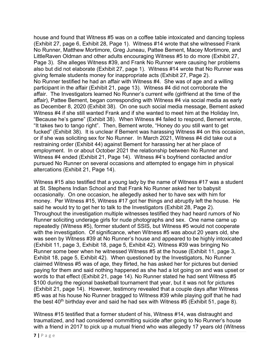house and found that Witness #5 was on a coffee table intoxicated and dancing topless (Exhibit 27, page 6, Exhibit 28, Page 1). Witness #14 wrote that she witnessed Frank No Runner, Matthew Mortimore, Greg Juneau, Pattee Bement, Macey Mortimore, and LittleRaven Oldman and other adults encouraging Witness #5 to do more (Exhibit 27, Page 3). She alleges Witness #39, and Frank No Runner were causing her problems also but did not elaborate (Exhibit 27, page 1). Witness #14 wrote that No Runner was giving female students money for inappropriate acts (Exhibit 27, Page 2). No Runner testified he had an affair with Witness #4. She was of age and a willing participant in the affair (Exhibit 21, page 13). Witness #4 did not corroborate the affair. The Investigators learned No Runner's current wife (girlfriend at the time of the affair), Pattee Bement, began corresponding with Witness #4 via social media as early as December 8, 2020 (Exhibit 38). On one such social media message, Bement asked Witness #4 if she still wanted Frank and if she wanted to meet him at the Holiday Inn, "Because he's game" (Exhibit 38). When Witness #4 failed to respond, Bement wrote, "It takes two to tango right". Then, Bement wrote, "Honey do you still want to get fucked" (Exhibit 38). It is unclear if Bement was harassing Witness #4 on this occasion, or if she was soliciting sex for No Runner. In March 2021, Witness #4 did take out a restraining order (Exhibit 44) against Bement for harassing her at her place of employment. In or about October 2021 the relationship between No Runner and Witness #4 ended (Exhibit 21, Page 14). Witness #4's boyfriend contacted and/or pursued No Runner on several occasions and attempted to engage him in physical altercations (Exhibit 21, Page 14).

Witness #15 also testified that a young lady by the name of Witness #17 was a student at St. Stephens Indian School and that Frank No Runner asked her to babysit occasionally. On one occasion, he allegedly asked her to have sex with him for money. Per Witness #15, Witness #17 got her things and abruptly left the house. He said he would try to get her to talk to the Investigators (Exhibit 28, Page 2). Throughout the investigation multiple witnesses testified they had heard rumors of No Runner soliciting underage girls for nude photographs and sex. One name came up repeatedly (Witness #5), former student of SSIS, but Witness #5 would not cooperate with the investigation. Of significance, when Witness #5 was about 20 years old, she was seen by Witness #39 at No Runner's house and appeared to be highly intoxicated (Exhibit 11, page 3, Exhibit 18, page 5, Exhibit 42). Witness #39 was bringing No Runner some beer when he witnessed Witness #5 at the house (Exhibit 11, page 3, Exhibit 18, page 5, Exhibit 42). When questioned by the Investigators, No Runner claimed Witness #5 was of age, they flirted, he has asked her for pictures but denied paying for them and said nothing happened as she had a lot going on and was upset or words to that effect (Exhibit 21, page 14). No Runner stated he had sent Witness #5 \$100 during the regional basketball tournament that year, but it was not for pictures (Exhibit 21, page 14). However, testimony revealed that a couple days after Witness #5 was at his house No Runner bragged to Witness #39 while playing golf that he had the best  $40<sup>th</sup>$  birthday ever and said he had sex with Witness #5 (Exhibit 51, page 8).

Witness #15 testified that a former student of his, Witness #14, was distraught and traumatized, and had considered committing suicide after going to No Runner's house with a friend in 2017 to pick up a mutual friend who was allegedly 17 years old (Witness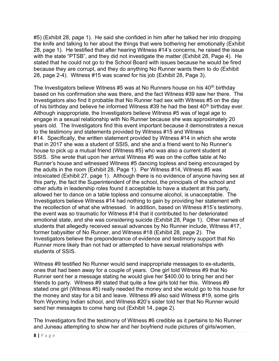#5) (Exhibit 28, page 1). He said she confided in him after he talked her into dropping the knife and talking to her about the things that were bothering her emotionally (Exhibit 28, page 1). He testified that after hearing Witness #14's concerns, he raised the issue with the state "PTSB", and they did not investigate the matter (Exhibit 28, Page 4). He stated that he could not go to the School Board with issues because he would be fired because they are corrupt, and they do anything No Runner wants them to do (Exhibit 28, page 2-4). Witness #15 was scared for his job (Exhibit 28, Page 3).

The Investigators believe Witness #5 was at No Runners house on his 40<sup>th</sup> birthday based on his confirmation she was there, and the fact Witness #39 saw her there. The Investigators also find it probable that No Runner had sex with Witness #5 on the day of his birthday and believe he informed Witness  $\#39$  he had the best  $40<sup>th</sup>$  birthday ever. Although inappropriate, the Investigators believe Witness #5 was of legal age to engage in a sexual relationship with No Runner because she was approximately 20 years old. The Investigators find this event important because it demonstrates a nexus to the testimony and statements provided by Witness #15 and Witness #14. Specifically, the written statement provided by Witness #14 in which she wrote that in 2017 she was a student of SSIS, and she and a friend went to No Runner's house to pick up a mutual friend (Witness #5) who was also a current student at SSIS. She wrote that upon her arrival Witness #5 was on the coffee table at No Runner's house and witnessed Witness #5 dancing topless and being encouraged by the adults in the room (Exhibit 28, Page 1). Per Witness #14, Witness #5 was intoxicated (Exhibit 27, page 1). Although there is no evidence of anyone having sex at this party, the fact the Superintendent of the school, the principals of the school and other adults in leadership roles found it acceptable to have a student at this party, allowed her to dance on a table topless and consume alcohol, is unacceptable. The Investigators believe Witness #14 had nothing to gain by providing her statement with the recollection of what she witnessed. In addition, based on Witness #15's testimony, the event was so traumatic for Witness #14 that it contributed to her deteriorated emotional state, and she was considering suicide (Exhibit 28, Page 1). Other names of students that allegedly received sexual advances by No Runner include, Witness #17, former babysitter of No Runner, and Witness #18 (Exhibit 28, page 2). The Investigators believe the preponderance of evidence and testimony support that No Runner more likely than not had or attempted to have sexual relationships with students of SSIS.

Witness #9 testified No Runner would send inappropriate messages to ex-students, ones that had been away for a couple of years. One girl told Witness #9 that No Runner sent her a message stating he would give her \$400.00 to bring her and her friends to party. Witness #9 stated that quite a few girls told her this. Witness #9 stated one girl (Witness #5) really needed the money and she would go to his house for the money and stay for a bit and leave. Witness #9 also said Witness #19, some girls from Wyoming Indian school, and Witness #20's sister told her that No Runner would send her messages to come hang out (Exhibit 14, page 2).

The Investigators find the testimony of Witness #6 credible as it pertains to No Runner and Juneau attempting to show her and her boyfriend nude pictures of girls/women,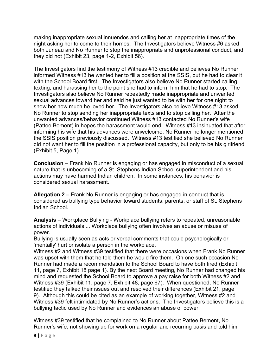making inappropriate sexual innuendos and calling her at inappropriate times of the night asking her to come to their homes. The Investigators believe Witness #6 asked both Juneau and No Runner to stop the inappropriate and unprofessional conduct, and they did not (Exhibit 23, page 1-2, Exhibit 56).

The Investigators find the testimony of Witness #13 credible and believes No Runner informed Witness #13 he wanted her to fill a position at the SSIS, but he had to clear it with the School Board first. The Investigators also believe No Runner started calling, texting, and harassing her to the point she had to inform him that he had to stop. The Investigators also believe No Runner repeatedly made inappropriate and unwanted sexual advances toward her and said he just wanted to be with her for one night to show her how much he loved her. The Investigators also believe Witness #13 asked No Runner to stop sending her inappropriate texts and to stop calling her. After the unwanted advances/behavior continued Witness #13 contacted No Runner's wife (Pattee Bement) in hopes the harassment would end. Witness #13 insinuated that after informing his wife that his advances were unwelcome, No Runner no longer mentioned the SSIS position previously discussed. Witness #13 testified she believed No Runner did not want her to fill the position in a professional capacity, but only to be his girlfriend (Exhibit 5, Page 1).

Conclusion – Frank No Runner is engaging or has engaged in misconduct of a sexual nature that is unbecoming of a St. Stephens Indian School superintendent and his actions may have harmed Indian children. In some instances, his behavior is considered sexual harassment.

Allegation 2 – Frank No Runner is engaging or has engaged in conduct that is considered as bullying type behavior toward students, parents, or staff of St. Stephens Indian School.

Analysis – Workplace Bullying - Workplace bullying refers to repeated, unreasonable actions of individuals ... Workplace bullying often involves an abuse or misuse of power.

Bullying is usually seen as acts or verbal comments that could psychologically or 'mentally' hurt or isolate a person in the workplace.

Witness #2 and Witness #39 testified that there were occasions when Frank No Runner was upset with them that he told them he would fire them. On one such occasion No Runner had made a recommendation to the School Board to have both fired (Exhibit 11, page 7, Exhibit 18 page 1). By the next Board meeting, No Runner had changed his mind and requested the School Board to approve a pay raise for both Witness #2 and Witness #39 (Exhibit 11, page 7, Exhibit 48, page 67). When questioned, No Runner testified they talked their issues out and resolved their differences (Exhibit 21, page 9). Although this could be cited as an example of working together, Witness #2 and Witness #39 felt intimidated by No Runner's actions. The Investigators believe this is a bullying tactic used by No Runner and evidences an abuse of power.

Witness #39 testified that he complained to No Runner about Pattee Bement, No Runner's wife, not showing up for work on a regular and recurring basis and told him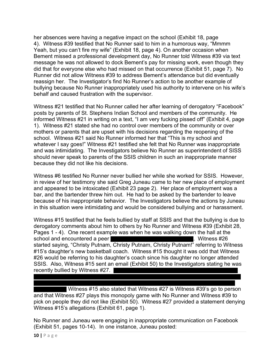her absences were having a negative impact on the school (Exhibit 18, page 4). Witness #39 testified that No Runner said to him in a humorous way, "Mmmm Yeah, but you can't fire my wife" (Exhibit 18, page 4). On another occasion when Bement missed a professional development day, No Runner told Witness #39 via text message he was not allowed to dock Bement's pay for missing work, even though they did that for everyone else who had missed on that occurrence (Exhibit 51, page 7). No Runner did not allow Witness #39 to address Bement's attendance but did eventually reassign her. The Investigator's find No Runner's action to be another example of bullying because No Runner inappropriately used his authority to intervene on his wife's behalf and caused frustration with the supervisor.

Witness #21 testified that No Runner called her after learning of derogatory "Facebook" posts by parents of St. Stephens Indian School and members of the community. He informed Witness #21 in writing on a text, "I am very fucking pissed off" (Exhibit 4, page 1). Witness #21 stated she had no control over members of the community or over mothers or parents that are upset with his decisions regarding the reopening of the school. Witness #21 said No Runner informed her that "This is my school and whatever I say goes!" Witness #21 testified she felt that No Runner was inappropriate and was intimidating. The Investigators believe No Runner as superintendent of SISS should never speak to parents of the SSIS children in such an inappropriate manner because they did not like his decisions.

Witness #6 testified No Runner never bullied her while she worked for SSIS. However, in review of her testimony she said Greg Juneau came to her new place of employment and appeared to be intoxicated (Exhibit 23 page 2). Her place of employment was a bar, and the bartender threw him out. He had to be asked by the bartender to leave because of his inappropriate behavior. The Investigators believe the actions by Juneau in this situation were intimidating and would be considered bullying and or harassment.

Witness #15 testified that he feels bullied by staff at SSIS and that the bullying is due to derogatory comments about him to others by No Runner and Witness #39 (Exhibit 28, Pages 1 - 4). One recent example was when he was walking down the hall at the school and encountered a peer **. Witness #26** . Witness #26 started saying, "Christy Putnam, Christy Putnam, Christy Putnam!" referring to Witness #15's daughter's new basketball coach. Witness #15 thought it was odd that Witness #26 would be referring to his daughter's coach since his daughter no longer attended SSIS. Also, Witness #15 sent an email (Exhibit 50) to the Investigators stating he was recently bullied by Witness #27.

 Witness #15 also stated that Witness #27 is Witness #39's go to person and that Witness #27 plays this monopoly game with No Runner and Witness #39 to pick on people they did not like (Exhibit 50). Witness #27 provided a statement denying Witness #15's allegations (Exhibit 61, page 1).

No Runner and Juneau were engaging in inappropriate communication on Facebook (Exhibit 51, pages 10-14). In one instance, Juneau posted: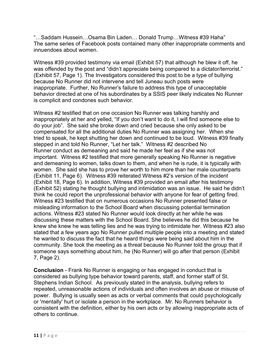"…Saddam Hussein…Osama Bin Laden… Donald Trump…Witness #39 Haha" The same series of Facebook posts contained many other inappropriate comments and innuendoes about women.

Witness #39 provided testimony via email (Exhibit 57) that although he blew it off, he was offended by the post and "didn't appreciate being compared to a dictator/terrorist." (Exhibit 57, Page 1). The Investigators considered this post to be a type of bullying because No Runner did not intervene and tell Juneau such posts were inappropriate. Further, No Runner's failure to address this type of unacceptable behavior directed at one of his subordinates by a SSIS peer likely indicates No Runner is complicit and condones such behavior.

Witness #2 testified that on one occasion No Runner was talking harshly and inappropriately at her and yelled, "If you don't want to do it, I will find someone else to do your job". She said she broke down and cried because she only asked to be compensated for all the additional duties No Runner was assigning her. When she tried to speak, he kept shutting her down and continued to be loud. Witness #39 finally stepped in and told No Runner, "Let her talk." Witness #2 described No Runner conduct as demeaning and said he made her feel as if she was not important. Witness #2 testified that more generally speaking No Runner is negative and demeaning to women, talks down to them, and when he is rude, it is typically with women. She said she has to prove her worth to him more than her male counterparts (Exhibit 11, Page 6). Witness #39 reiterated Witness #2's version of the incident (Exhibit 18, Page 6). In addition, Witness #39 provided an email after his testimony (Exhibit 52) stating he thought bullying and intimidation was an issue. He said he didn't think he could report the unprofessional behavior with anyone for fear of getting fired. Witness #23 testified that on numerous occasions No Runner presented false or misleading information to the School Board when discussing potential termination actions. Witness #23 stated No Runner would look directly at her while he was discussing these matters with the School Board. She believes he did this because he knew she knew he was telling lies and he was trying to intimidate her. Witness #23 also stated that a few years ago No Runner pulled multiple people into a meeting and stated he wanted to discuss the fact that he heard things were being said about him in the community. She took the meeting as a threat because No Runner told the group that if someone says something about him, he (No Runner) will go after that person (Exhibit 7, Page 2).

Conclusion - Frank No Runner is engaging or has engaged in conduct that is considered as bullying type behavior toward parents, staff, and former staff of St. Stephens Indian School. As previously stated in the analysis, bullying refers to repeated, unreasonable actions of individuals and often involves an abuse or misuse of power. Bullying is usually seen as acts or verbal comments that could psychologically or 'mentally' hurt or isolate a person in the workplace. Mr. No Runners behavior is consistent with the definition, either by his own acts or by allowing inappropriate acts of others to continue.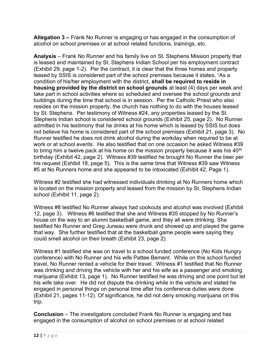Allegation 3 – Frank No Runner is engaging or has engaged in the consumption of alcohol on school premises or at school related functions, trainings, etc.

Analysis – Frank No Runner and his family live on St. Stephens Mission property that is leased and maintained by St. Stephens Indian School per his employment contract (Exhibit 29, page 1-2). Per the contract, it is clear that the three homes and property leased by SSIS is considered part of the school premises because it states, "As a condition of his/her employment with the district, shall be required to reside in housing provided by the district on school grounds at least (4) days per week and take part in school activities where so scheduled and oversee the school grounds and buildings during the time that school is in session. Per the Catholic Priest who also resides on the mission property, the church has nothing to do with the houses leased by St. Stephens. Per testimony of Witness #24, any properties leased by the St. Stephens Indian school is considered school grounds (Exhibit 25, page 2). No Runner admitted in his testimony that he drinks at his home which is leased by SSIS but does not believe his home is considered part of the school premises (Exhibit 21, page 3). No Runner testified he does not drink alcohol during the workday when required to be at work or at school events. He also testified that on one occasion he asked Witness #39 to bring him a twelve pack at his home on the mission property because it was his  $40<sup>th</sup>$ birthday (Exhibit 42, page 2). Witness #39 testified he brought No Runner the beer per his request (Exhibit 18, page 5). This is the same time that Witness #39 saw Witness #5 at No Runners home and she appeared to be intoxicated (Exhibit 42, Page 1).

Witness #2 testified she had witnessed individuals drinking at No Runners home which is located on the mission property and leased from the mission by St. Stephens Indian school (Exhibit 11, page 2).

Witness #8 testified No Runner always had cookouts and alcohol was involved (Exhibit 12, page 3). Witness #6 testified that she and Witness #35 stopped by No Runner's house on the way to an alumni basketball game, and they all were drinking. She testified No Runner and Greg Juneau were drunk and showed up and played the game that way. She further testified that at the basketball game people were saying they could smell alcohol on their breath (Exhibit 23, page 2).

Witness #1 testified she was on travel to a school funded conference (No Kids Hungry conference) with No Runner and his wife Pattee Bement. While on this school funded travel, No Runner rented a vehicle for their travel. Witness #1 testified that No Runner was drinking and driving the vehicle with her and his wife as a passenger and smoking marijuana (Exhibit 13, page 1). No Runner testified he was driving and one point but let his wife take over. He did not dispute the drinking while in the vehicle and stated he engaged in personal things on personal time after his conference duties were done (Exhibit 21, pages 11-12). Of significance, he did not deny smoking marijuana on this trip.

Conclusion – The investigators concluded Frank No Runner is engaging and has engaged in the consumption of alcohol on school premises or at school related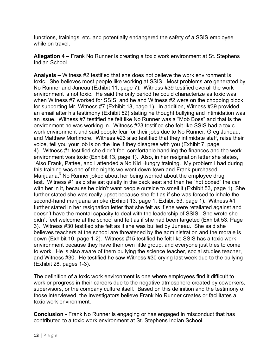functions, trainings, etc. and potentially endangered the safety of a SSIS employee while on travel.

Allegation 4 – Frank No Runner is creating a toxic work environment at St. Stephens Indian School

Analysis – Witness #2 testified that she does not believe the work environment is toxic. She believes most people like working at SSIS. Most problems are generated by No Runner and Juneau (Exhibit 11, page 7). Witness #39 testified overall the work environment is not toxic. He said the only period he could characterize as toxic was when Witness #7 worked for SSIS, and he and Witness #2 were on the chopping block for supporting Mr. Witness #7 (Exhibit 18, page 1). In addition, Witness #39 provided an email after his testimony (Exhibit 52) stating he thought bullying and intimidation was an issue. Witness #7 testified he felt like No Runner was a "Mob Boss" and that is the environment he was working in. Witness #23 testified she felt like SSIS had a toxic work environment and said people fear for their jobs due to No Runner, Greg Juneau, and Matthew Mortimore. Witness #23 also testified that they intimidate staff, raise their voice, tell you your job is on the line if they disagree with you (Exhibit 7, page 4). Witness #1 testified she didn't feel comfortable handling the finances and the work environment was toxic (Exhibit 13, page 1). Also, in her resignation letter she states, "Also Frank, Pattee, and I attended a No Kid Hungry training. My problem I had during this training was one of the nights we went down-town and Frank purchased Marijuana." No Runner joked about her being worried about the employee drug test. Witness #1 said she sat quietly in the back seat and then he "hot boxed" the car with her in it, because he didn't want people outside to smell it (Exhibit 53, page 1). She further stated she was really upset because she felt as if she was forced to inhale the second-hand marijuana smoke (Exhibit 13, page 1, Exhibit 53, page 1). Witness #1 further stated in her resignation letter that she felt as if she were retaliated against and doesn't have the mental capacity to deal with the leadership of SSIS. She wrote she didn't feel welcome at the school and felt as if she had been targeted (Exhibit 53, Page 3). Witness #30 testified she felt as if she was bullied by Juneau. She said she believes teachers at the school are threatened by the administration and the morale is down (Exhibit 10, page 1-2). Witness #15 testified he felt like SSIS has a toxic work environment because they have their own little group, and everyone just tries to come to work. He is also aware of them bullying the science teacher, social studies teacher, and Witness #30. He testified he saw Witness #30 crying last week due to the bullying (Exhibit 28, pages 1-3).

The definition of a toxic work environment is one where employees find it difficult to work or progress in their careers due to the negative atmosphere created by coworkers, supervisors, or the company culture itself. Based on this definition and the testimony of those interviewed, the Investigators believe Frank No Runner creates or facilitates a toxic work environment.

Conclusion - Frank No Runner is engaging or has engaged in misconduct that has contributed to a toxic work environment at St. Stephens Indian School.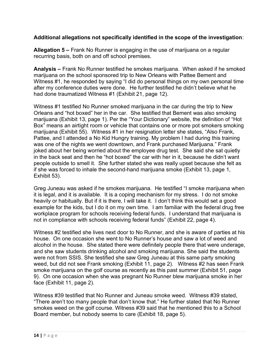## Additional allegations not specifically identified in the scope of the investigation:

Allegation 5 – Frank No Runner is engaging in the use of marijuana on a regular recurring basis, both on and off school premises.

Analysis – Frank No Runner testified he smokes marijuana. When asked if he smoked marijuana on the school sponsored trip to New Orleans with Pattee Bement and Witness #1, he responded by saying "I did do personal things on my own personal time after my conference duties were done. He further testified he didn't believe what he had done traumatized Witness #1 (Exhibit 21, page 12).

Witness #1 testified No Runner smoked marijuana in the car during the trip to New Orleans and "hot boxed" her in the car. She testified that Bement was also smoking marijuana (Exhibit 13, page 1). Per the "Your Dictionary" website, the definition of "Hot Box" means an airtight room or vehicle that contains one or more pot smokers smoking marijuana (Exhibit 55). Witness #1 in her resignation letter she states, "Also Frank, Pattee, and I attended a No Kid Hungry training. My problem I had during this training was one of the nights we went downtown, and Frank purchased Marijuana." Frank joked about her being worried about the employee drug test. She said she sat quietly in the back seat and then he "hot boxed" the car with her in it, because he didn't want people outside to smell it. She further stated she was really upset because she felt as if she was forced to inhale the second-hand marijuana smoke (Exhibit 13, page 1, Exhibit 53).

Greg Juneau was asked if he smokes marijuana. He testified "I smoke marijuana when it is legal, and it is available. It is a coping mechanism for my stress. I do not smoke heavily or habitually. But if it is there, I will take it. I don't think this would set a good example for the kids, but I do it on my own time. I am familiar with the federal drug free workplace program for schools receiving federal funds. I understand that marijuana is not in compliance with schools receiving federal funds" (Exhibit 22, page 4).

Witness #2 testified she lives next door to No Runner, and she is aware of parties at his house. On one occasion she went to No Runner's house and saw a lot of weed and alcohol in the house. She stated there were definitely people there that were underage, and she saw students drinking alcohol and smoking marijuana. She said the students were not from SSIS. She testified she saw Greg Juneau at this same party smoking weed, but did not see Frank smoking (Exhibit 11, page 2). Witness #2 has seen Frank smoke marijuana on the golf course as recently as this past summer (Exhibit 51, page 9). On one occasion when she was pregnant No Runner blew marijuana smoke in her face (Exhibit 11, page 2).

Witness #39 testified that No Runner and Juneau smoke weed. Witness #39 stated, "There aren't too many people that don't know that." He further stated that No Runner smokes weed on the golf course. Witness #39 said that he mentioned this to a School Board member, but nobody seems to care (Exhibit 18, page 5).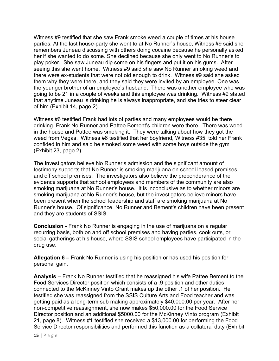Witness #9 testified that she saw Frank smoke weed a couple of times at his house parties. At the last house-party she went to at No Runner's house, Witness #9 said she remembers Juneau discussing with others doing cocaine because he personally asked her if she wanted to do some. She declined because she only went to No Runner's to play poker. She saw Juneau dip some on his fingers and put it on his gums. After seeing this she went home. Witness #9 said she saw No Runner smoking weed and there were ex-students that were not old enough to drink. Witness #9 said she asked them why they were there, and they said they were invited by an employee. One was the younger brother of an employee's husband. There was another employee who was going to be 21 in a couple of weeks and this employee was drinking. Witness #9 stated that anytime Juneau is drinking he is always inappropriate, and she tries to steer clear of him (Exhibit 14, page 2).

Witness #6 testified Frank had lots of parties and many employees would be there drinking. Frank No Runner and Pattee Bement's children were there. There was weed in the house and Pattee was smoking it. They were talking about how they got the weed from Vegas. Witness #6 testified that her boyfriend, Witness #35, told her Frank confided in him and said he smoked some weed with some boys outside the gym (Exhibit 23, page 2).

The Investigators believe No Runner's admission and the significant amount of testimony supports that No Runner is smoking marijuana on school leased premises and off school premises. The investigators also believe the preponderance of the evidence supports that school employees and members of the community are also smoking marijuana at No Runner's house. It is inconclusive as to whether minors are smoking marijuana at No Runner's house, but the investigators believe minors have been present when the school leadership and staff are smoking marijuana at No Runner's house. Of significance, No Runner and Bement's children have been present and they are students of SSIS.

Conclusion - Frank No Runner is engaging in the use of marijuana on a regular recurring basis, both on and off school premises and having parties, cook outs, or social gatherings at his house, where SSIS school employees have participated in the drug use.

Allegation 6 – Frank No Runner is using his position or has used his position for personal gain.

Analysis – Frank No Runner testified that he reassigned his wife Pattee Bement to the Food Services Director position which consists of a .9 position and other duties connected to the McKinney Vinto Grant makes up the other .1 of her position. He testified she was reassigned from the SSIS Culture Arts and Food teacher and was getting paid as a long-term sub making approximately \$40,000.00 per year. After her non-competitive reassignment, she now makes \$50,000.00 for the Food Service Director position and an additional \$5000.00 for the McKinney Vinto program (Exhibit 21, page 8). Witness #1 testified she received a \$13,000.00 for performing the Food Service Director responsibilities and performed this function as a collateral duty (Exhibit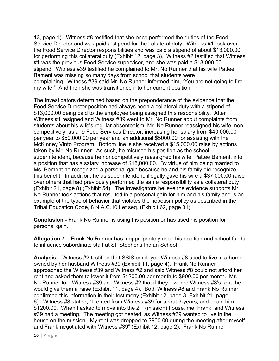13, page 1). Witness #8 testified that she once performed the duties of the Food Service Director and was paid a stipend for the collateral duty. Witness #1 took over the Food Service Director responsibilities and was paid a stipend of about \$13,000.00 for performing this collateral duty (Exhibit 12, page 3). Witness #2 testified that Witness #1 was the previous Food Service supervisor, and she was paid a \$13,000.00 stipend. Witness #39 testified he complained to Mr. No Runner that his wife Pattee Bement was missing so many days from school that students were complaining. Witness #39 said Mr. No Runner informed him, "You are not going to fire my wife." And then she was transitioned into her current position.

The Investigators determined based on the preponderance of the evidence that the Food Service Director position had always been a collateral duty with a stipend of \$13,000.00 being paid to the employee being assigned this responsibility. After Witness #1 resigned and Witness #39 went to Mr. No Runner about complaints from students about his wife's regular absenteeism, Mr. No Runner reassigned his wife, noncompetitively, as a .9 Food Services Director, increasing her salary from \$40,000.00 per year to \$50,000.00 per year and an additional \$5000.00 for assisting with the McKinney Vinto Program. Bottom line is she received a \$15,000.00 raise by actions taken by Mr. No Runner. As such, he misused his position as the school superintendent, because he noncompetitively reassigned his wife, Pattee Bement, into a position that has a salary increase of \$15,000.00. By virtue of him being married to Ms. Bement he recognized a personal gain because he and his family did recognize this benefit. In addition, he as superintendent, illegally gave his wife a \$37,000.00 raise over others that had previously performed the same responsibility as a collateral duty (Exhibit 21, page 8) (Exhibit 54). The Investigators believe the evidence supports Mr. No Runner took actions that resulted in a personal gain for him and his family and is an example of the type of behavior that violates the nepotism policy as described in the Tribal Education Code, 8 N.A.C.101 et seq. (Exhibit 62, page 31).

Conclusion - Frank No Runner is using his position or has used his position for personal gain.

Allegation 7 – Frank No Runner has inappropriately used his position and school funds to influence subordinate staff at St. Stephens Indian School.

Analysis – Witness #2 testified that SSIS employee Witness #8 used to live in a home owned by her husband Witness #39 (Exhibit 11, page 4). Frank No Runner approached the Witness #39 and Witness #2 and said Witness #8 could not afford her rent and asked them to lower it from \$1200.00 per month to \$900.00 per month. Mr. No Runner told Witness #39 and Witness #2 that if they lowered Witness #8's rent, he would give them a raise (Exhibit 11, page 4). Both Witness #8 and Frank No Runner confirmed this information in their testimony (Exhibit 12, page 3, Exhibit 21, page 6). Witness #8 stated, "I rented from Witness #39 for about 3-years, and I paid him \$1200.00. When I asked to move into the 2<sup>nd</sup> (mission) house, me, Frank, and Witness #39 had a meeting. The meeting got heated, as Witness #39 wanted to live in the house on the mission. My rent was dropped to \$900.00 during the meeting after myself and Frank negotiated with Witness #39" (Exhibit 12, page 2). Frank No Runner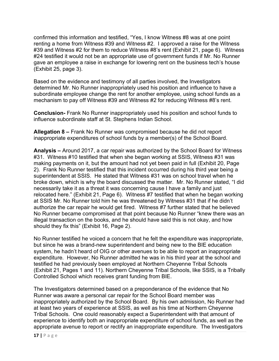confirmed this information and testified, "Yes, I know Witness #8 was at one point renting a home from Witness #39 and Witness #2. I approved a raise for the Witness #39 and Witness #2 for them to reduce Witness #8's rent (Exhibit 21, page 6). Witness #24 testified it would not be an appropriate use of government funds if Mr. No Runner gave an employee a raise in exchange for lowering rent on the business tech's house (Exhibit 25, page 3).

Based on the evidence and testimony of all parties involved, the Investigators determined Mr. No Runner inappropriately used his position and influence to have a subordinate employee change the rent for another employee, using school funds as a mechanism to pay off Witness #39 and Witness #2 for reducing Witness #8's rent.

Conclusion- Frank No Runner inappropriately used his position and school funds to influence subordinate staff at St. Stephens Indian School.

Allegation 8 – Frank No Runner was compromised because he did not report inappropriate expenditures of school funds by a member(s) of the School Board.

Analysis – Around 2017, a car repair was authorized by the School Board for Witness #31. Witness #10 testified that when she began working at SSIS, Witness #31 was making payments on it, but the amount had not yet been paid in full (Exhibit 20, Page 2). Frank No Runner testified that this incident occurred during his third year being a superintendent at SSIS. He stated that Witness #31 was on school travel when he broke down, which is why the board discussed the matter. Mr. No Runner stated, "I did necessarily take it as a threat it was concerning cause I have a family and just relocated here." (Exhibit 21, Page 6). Witness #7 testified that when he began working at SSIS Mr. No Runner told him he was threatened by Witness #31 that if he didn't authorize the car repair he would get fired. Witness #7 further stated that he believed No Runner became compromised at that point because No Runner "knew there was an illegal transaction on the books, and he should have said this is not okay, and how should they fix this" (Exhibit 16, Page 2).

No Runner testified he voiced a concern that he felt the expenditure was inappropriate, but since he was a brand-new superintendent and being new to the BIE education system, he hadn't heard of OIG or other avenues to be able to report an inappropriate expenditure. However, No Runner admitted he was in his third year at the school and testified he had previously been employed at Northern Cheyenne Tribal Schools (Exhibit 21, Pages 1 and 11). Northern Cheyenne Tribal Schools, like SSIS, is a Tribally Controlled School which receives grant funding from BIE.

The Investigators determined based on a preponderance of the evidence that No Runner was aware a personal car repair for the School Board member was inappropriately authorized by the School Board. By his own admission, No Runner had at least two years of experience at SSIS, as well as his time at Northern Cheyenne Tribal Schools. One could reasonably expect a Superintendent with that amount of experience to identify both an inappropriate expenditure of school funds, as well as the appropriate avenue to report or rectify an inappropriate expenditure. The Investigators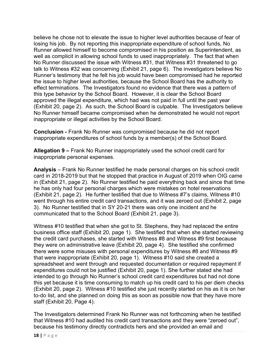believe he chose not to elevate the issue to higher level authorities because of fear of losing his job. By not reporting this inappropriate expenditure of school funds, No Runner allowed himself to become compromised in his position as Superintendent, as well as complicit in allowing school funds to used inappropriately. The fact that when No Runner discussed the issue with Witness #31, that Witness #31 threatened to go talk to Witness #32 was concerning (Exhibit 21, page 6). The investigators believe No Runner's testimony that he felt his job would have been compromised had he reported the issue to higher level authorities, because the School Board has the authority to effect terminations. The Investigators found no evidence that there was a pattern of this type behavior by the School Board. However, it is clear the School Board approved the illegal expenditure, which had was not paid in full until the past year (Exhibit 20, page 2). As such, the School Board is culpable. The Investigators believe No Runner himself became compromised when he demonstrated he would not report inappropriate or illegal activities by the School Board.

Conclusion - Frank No Runner was compromised because he did not report inappropriate expenditures of school funds by a member(s) of the School Board.

Allegation 9 – Frank No Runner inappropriately used the school credit card for inappropriate personal expenses.

Analysis – Frank No Runner testified he made personal charges on his school credit card in 2018-2019 but that he stopped that practice in August of 2019 when OIG came in (Exhibit 21, page 2). No Runner testified he paid everything back and since that time he has only had four personal charges which were mistakes on hotel reservations (Exhibit 21, page 2). He further testified that due to Witness #7's claims, Witness #10 went through his entire credit card transactions, and it was zeroed out (Exhibit 2, page 3). No Runner testified that in SY 20-21 there was only one incident and he communicated that to the School Board (Exhibit 21, page 3).

Witness #10 testified that when she got to St. Stephens, they had replaced the entire business office staff (Exhibit 20, page 1). She testified that when she started reviewing the credit card purchases, she started with Witness #8 and Witness #9 first because they were on administrative leave (Exhibit 20, page 4). She testified she confirmed there were some misuses with personal expenditures by Witness #8 and Witness #9 that were inappropriate (Exhibit 20, page 1). Witness #10 said she created a spreadsheet and went through and requested documentation or required repayment if expenditures could not be justified (Exhibit 20, page 1). She further stated she had intended to go through No Runner's school credit card expenditures but had not done this yet because it is time consuming to match up his credit card to his per diem checks (Exhibit 20, page 2). Witness #10 testified she just recently started on his as it is on her to-do list, and she planned on doing this as soon as possible now that they have more staff (Exhibit 20, Page 4).

The Investigators determined Frank No Runner was not forthcoming when he testified that Witness #10 had audited his credit card transactions and they were "zeroed out", because his testimony directly contradicts hers and she provided an email and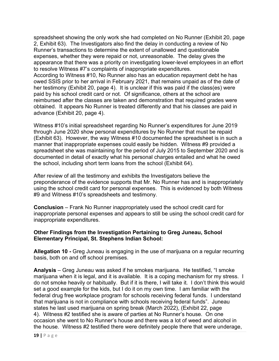spreadsheet showing the only work she had completed on No Runner (Exhibit 20, page 2, Exhibit 63). The Investigators also find the delay in conducting a review of No Runner's transactions to determine the extent of unallowed and questionable expenses, whether they were repaid or not, unreasonable. The delay gives the appearance that there was a priority on investigating lower-level employees in an effort to resolve Witness #7's complaints of inappropriate expenditures.

According to Witness #10, No Runner also has an education repayment debt he has owed SSIS prior to her arrival in February 2021, that remains unpaid as of the date of her testimony (Exhibit 20, page 4). It is unclear if this was paid if the class(es) were paid by his school credit card or not. Of significance, others at the school are reimbursed after the classes are taken and demonstration that required grades were obtained. It appears No Runner is treated differently and that his classes are paid in advance (Exhibit 20, page 4).

Witness #10's initial spreadsheet regarding No Runner's expenditures for June 2019 through June 2020 show personal expenditures by No Runner that must be repaid (Exhibit 63). However, the way Witness #10 documented the spreadsheet is in such a manner that inappropriate expenses could easily be hidden. Witness #9 provided a spreadsheet she was maintaining for the period of July 2015 to September 2020 and is documented in detail of exactly what his personal charges entailed and what he owed the school, including short term loans from the school (Exhibit 64).

After review of all the testimony and exhibits the Investigators believe the preponderance of the evidence supports that Mr. No Runner has and is inappropriately using the school credit card for personal expenses. This is evidenced by both Witness #9 and Witness #10's spreadsheets and testimony.

Conclusion – Frank No Runner inappropriately used the school credit card for inappropriate personal expenses and appears to still be using the school credit card for inappropriate expenditures.

#### Other Findings from the Investigation Pertaining to Greg Juneau, School Elementary Principal, St. Stephens Indian School:

Allegation 10 - Greg Juneau is engaging in the use of marijuana on a regular recurring basis, both on and off school premises.

Analysis – Greg Juneau was asked if he smokes marijuana. He testified, "I smoke marijuana when it is legal, and it is available. It is a coping mechanism for my stress. I do not smoke heavily or habitually. But if it is there, I will take it. I don't think this would set a good example for the kids, but I do it on my own time. I am familiar with the federal drug free workplace program for schools receiving federal funds. I understand that marijuana is not in compliance with schools receiving federal funds". Juneau states he last used marijuana on spring break (March 2022), (Exhibit 22, page 4). Witness #2 testified she is aware of parties at No Runner's house. On one occasion she went to No Runner's house and there was a lot of weed and alcohol in the house. Witness #2 testified there were definitely people there that were underage,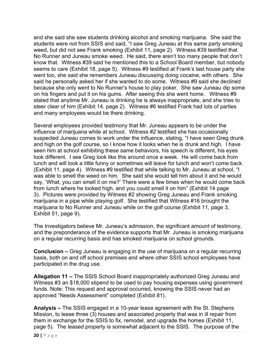and she said she saw students drinking alcohol and smoking marijuana. She said the students were not from SSIS and said, "I saw Greg Juneau at this same party smoking weed, but did not see Frank smoking (Exhibit 11, page 2). Witness #39 testified that No Runner and Juneau smoke weed. He said, there aren't too many people that don't know that. Witness #39 said he mentioned this to a School Board member, but nobody seems to care (Exhibit 18, page 5). Witness #9 testified at Frank's last house party she went too, she said she remembers Juneau discussing doing cocaine, with others. She said he personally asked her if she wanted to do some. Witness #9 said she declined because she only went to No Runner's house to play poker. She saw Juneau dip some on his fingers and put it on his gums. After seeing this she went home. Witness #9 stated that anytime Mr. Juneau is drinking he is always inappropriate, and she tries to steer clear of him (Exhibit 14, page 2). Witness #6 testified Frank had lots of parties and many employees would be there drinking.

Several employees provided testimony that Mr. Juneau appears to be under the influence of marijuana while at school. Witness #2 testified she has occasionally suspected Juneau comes to work under the influence, stating, "I have seen Greg drunk and high on the golf course, so I know how it looks when he is drunk and high. I have seen him at school exhibiting these same behaviors, his speech is different, his eyes look different. I see Greg look like this around once a week. He will come back from lunch and will look a little funny or sometimes will leave for lunch and won't come back (Exhibit 11, page 4). Witness #9 testified that while talking to Mr. Juneau at school, "I was able to smell the weed on him. She said she would tell him about it and he would say, 'What, you can smell it on me?' There were a few times when he would come back from lunch where he looked high, and you could smell it on him" (Exhibit 14 page 3). Pictures were provided by Witness #2 showing Greg Juneau and Frank smoking marijuana in a pipe while playing golf. She testified that Witness #16 brought the marijuana to No Runner and Juneau while on the golf course (Exhibit 11, page 3, Exhibit 51, page 9).

The Investigators believe Mr. Juneau's admission, the significant amount of testimony, and the preponderance of the evidence supports that Mr. Juneau is smoking marijuana on a regular recurring basis and has smoked marijuana on school grounds.

Conclusion – Greg Juneau is engaging in the use of marijuana on a regular recurring basis, both on and off school premises and where other SSIS school employees have participated in the drug use.

Allegation 11 – The SSIS School Board inappropriately authorized Greg Juneau and Witness #3 an \$18,000 stipend to be used to pay housing expenses using government funds. Note: This request and approval occurred, knowing the SSIS never had an approved "Needs Assessment" completed (Exhibit 81).

Analysis – The SSIS engaged in a 10-year lease agreement with the St. Stephens Mission, to lease three (3) houses and associated property that was in ill repair from them in exchange for the SSIS to fix, remodel, and upgrade the homes (Exhibit 11, page 5). The leased property is somewhat adjacent to the SSIS. The purpose of the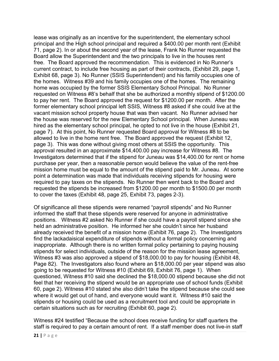lease was originally as an incentive for the superintendent, the elementary school principal and the High school principal and required a \$400.00 per month rent (Exhibit 71, page 2). In or about the second year of the lease, Frank No Runner requested the Board allow the Superintendent and the two principals to live in the houses rent free. The Board approved the recommendation. This is evidenced in No Runner's current contract, to include free housing as part of their contracts, (Exhibit 29, page 1, Exhibit 68, page 3). No Runner (SSIS Superintendent) and his family occupies one of the homes. Witness #39 and his family occupies one of the homes. The remaining home was occupied by the former SSIS Elementary School Principal. No Runner requested on Witness #8's behalf that she be authorized a monthly stipend of \$1200.00 to pay her rent. The Board approved the request for \$1200.00 per month. After the former elementary school principal left SSIS, Witness #8 asked if she could live at the vacant mission school property house that was then vacant. No Runner advised her the house was reserved for the new Elementary School principal. When Juneau was hired as the elementary school principal, he opted to not live in the house (Exhibit 21, page 7). At this point, No Runner requested Board approval for Witness #8 to be allowed to live in the home rent free. The Board approved the request (Exhibit 12, page 3). This was done without giving most others at SSIS the opportunity. This approval resulted in an approximate \$14,400.00 pay increase for Witness #8. The Investigators determined that if the stipend for Juneau was \$14,400.00 for rent or home purchase per year, then a reasonable person would believe the value of the rent-free mission home must be equal to the amount of the stipend paid to Mr. Juneau. At some point a determination was made that individuals receiving stipends for housing were required to pay taxes on the stipends. No Runner then went back to the Board and requested the stipends be increased from \$1200.00 per month to \$1500.00 per month to cover the taxes (Exhibit 48, page 25, Exhibit 73, pages 2-3).

Of significance all these stipends were renamed "payroll stipends" and No Runner informed the staff that these stipends were reserved for anyone in administrative positions. Witness #2 asked No Runner if she could have a payroll stipend since she held an administrative position. He informed her she couldn't since her husband already received the benefit of a mission home (Exhibit 76, page 2). The Investigators find the lackadaisical expenditure of stipends without a formal policy concerning and inappropriate. Although there is no written formal policy pertaining to paying housing stipends for select individuals, outside of the reason for the mission lease agreement, Witness #3 was also approved a stipend of \$18,000.00 to pay for housing (Exhibit 48, Page 82). The Investigators also found where an \$18,000.00 per year stipend was also going to be requested for Witness #10 (Exhibit 69, Exhibit 76, page 1). When questioned, Witness #10 said she declined the \$18,000.00 stipend because she did not feel that her receiving the stipend would be an appropriate use of school funds (Exhibit 60, page 2). Witness #10 stated she also didn't take the stipend because she could see where it would get out of hand, and everyone would want it. Witness #10 said the stipends or housing could be used as a recruitment tool and could be appropriate in certain situations such as for recruiting (Exhibit 60, page 2).

Witness #24 testified "Because the school does receive funding for staff quarters the staff is required to pay a certain amount of rent. If a staff member does not live-in staff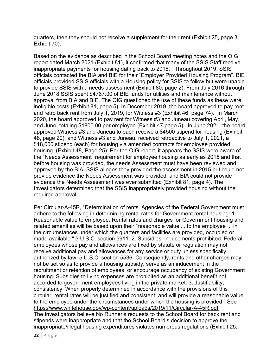quarters, then they should not receive a supplement for their rent (Exhibit 25, page 3, Exhibit 70).

Based on the evidence as described in the School Board meeting notes and the OIG report dated March 2021 (Exhibit 81), it confirmed that many of the SSIS Staff receive inappropriate payments for housing dating back to 2015. Throughout 2019, SSIS officials contacted the BIA and BIE for their "Employer Provided Housing Program". BIE officials provided SSIS officials with a Housing policy for SSIS to follow but were unable to provide SSIS with a needs assessment (Exhibit 80, page 2). From July 2016 through June 2018 SSIS spent \$4767.00 of BIE funds for utilities and maintenance without approval from BIA and BIE. The OIG questioned the use of these funds as these were ineligible costs (Exhibit 81, page 5). In December 2019, the board approved to pay rent and retro back rent from July 1, 2019, for Witness #3 (Exhibit 46, page 74). In March 2020, the board approved to pay rent for Witness #3 and Juneau covering April, May, and June, totaling \$1800.00 per employee (Exhibit 47 page 5). In June 2021, the board approved Witness #3 and Juneau to each receive a \$4500 stipend for housing (Exhibit 48, page 20), and Witness #3 and Juneau, received retroactive to July 1, 2021, a \$18,000 stipend (each) for housing via amended contracts for employee provided housing. (Exhibit 48, Page 25). Per the OIG report, it appears the SSIS were aware of the "Needs Assessment" requirement for employee housing as early as 2015 and that before housing was provided, the needs Assessment must have been reviewed and approved by the BIA. SSIS alleges they provided the assessment in 2015 but could not provide evidence the Needs Assessment was provided, and BIA could not provide evidence the Needs Assessment was ever submitted (Exhibit 81, page 4). The Investigators determined that the SSIS inappropriately provided housing without the required approval.

Per Circular-A-45R, "Determination of rents. Agencies of the Federal Government must adhere to the following in determining rental rates for Government rental housing: 1. Reasonable value to employee. Rental rates and charges for Government housing and related amenities will be based upon their "reasonable value ... to the employee ... in the circumstances under which the quarters and facilities are provided, occupied or made available." 5 U.S.C. section 5911. 2. Subsidies, inducements prohibited. Federal employees whose pay and allowances are fixed by statute or regulation may not receive additional pay and allowances for any service or duty unless specifically authorized by law. 5 U.S.C. section 5536. Consequently, rents and other charges may not be set so as to provide a housing subsidy, serve as an inducement in the recruitment or retention of employees, or encourage occupancy of existing Government housing. Subsidies to living expenses are prohibited as an additional benefit not accorded to government employees living in the private market. 3. Justifiability, consistency. When properly determined in accordance with the provisions of this circular, rental rates will be justified and consistent, and will provide a reasonable value to the employee under the circumstances under which the housing is provided." See https://www.whitehouse.gov/wp-content/uploads/2019/11/Circular-A-45R.pdf The Investigators believe No Runner's requests to the School Board for back rent and stipends were inappropriate and that the School Board's decision to approve the inappropriate/illegal housing expenditures violates numerous regulations (Exhibit 25,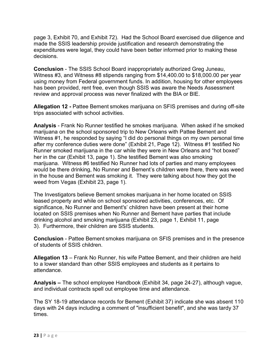page 3, Exhibit 70, and Exhibit 72). Had the School Board exercised due diligence and made the SSIS leadership provide justification and research demonstrating the expenditures were legal, they could have been better informed prior to making these decisions.

Conclusion - The SSIS School Board inappropriately authorized Greg Juneau, Witness #3, and Witness #8 stipends ranging from \$14,400.00 to \$18,000.00 per year using money from Federal government funds. In addition, housing for other employees has been provided, rent free, even though SSIS was aware the Needs Assessment review and approval process was never finalized with the BIA or BIE.

Allegation 12 - Pattee Bement smokes marijuana on SFIS premises and during off-site trips associated with school activities.

Analysis - Frank No Runner testified he smokes marijuana. When asked if he smoked marijuana on the school sponsored trip to New Orleans with Pattee Bement and Witness #1, he responded by saying "I did do personal things on my own personal time after my conference duties were done" (Exhibit 21, Page 12). Witness #1 testified No Runner smoked marijuana in the car while they were in New Orleans and "hot boxed" her in the car (Exhibit 13, page 1). She testified Bement was also smoking marijuana. Witness #6 testified No Runner had lots of parties and many employees would be there drinking, No Runner and Bement's children were there, there was weed in the house and Bement was smoking it. They were talking about how they got the weed from Vegas (Exhibit 23, page 1).

The Investigators believe Bement smokes marijuana in her home located on SSIS leased property and while on school sponsored activities, conferences, etc. Of significance, No Runner and Bement's' children have been present at their home located on SSIS premises when No Runner and Bement have parties that include drinking alcohol and smoking marijuana (Exhibit 23, page 1, Exhibit 11, page 3). Furthermore, their children are SSIS students.

**Conclusion** - Pattee Bement smokes marijuana on SFIS premises and in the presence of students of SSIS children.

Allegation 13 – Frank No Runner, his wife Pattee Bement, and their children are held to a lower standard than other SSIS employees and students as it pertains to attendance.

Analysis – The school employee Handbook (Exhibit 34, page 24-27), although vague, and individual contracts spell out employee time and attendance.

The SY 18-19 attendance records for Bement (Exhibit 37) indicate she was absent 110 days with 24 days including a comment of "insufficient benefit", and she was tardy 37 times.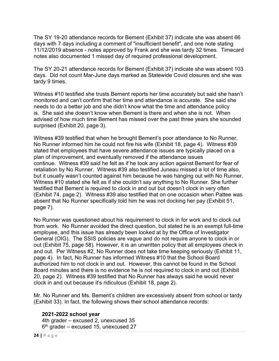The SY 19-20 attendance records for Bement (Exhibit 37) indicate she was absent 66 days with 7 days including a comment of "insufficient benefit", and one note stating 11/12/2019 absence - notes approved by Frank and she was tardy 32 times. Timecard notes also documented 1 missed day of required professional development.

The SY 20-21 attendance records for Bement (Exhibit 37) indicate she was absent 103 days. Did not count Mar-June days marked as Statewide Covid closures and she was tardy 9 times.

Witness #10 testified she trusts Bement reports her time accurately but said she hasn't monitored and can't confirm that her time and attendance is accurate. She said she needs to do a better job and she didn't know what the time and attendance policy is. She said she doesn't know when Bement is there and when she is not. When advised of how much time Bement has missed over the past three years she sounded surprised (Exhibit 20, page 3).

Witness #39 testified that when he brought Bement's poor attendance to No Runner, No Runner informed him he could not fire his wife (Exhibit 18, page 4). Witness #39 stated that employees that have severe attendance issues are typically placed on a plan of improvement, and eventually removed if the attendance issues continue. Witness #39 said he felt as if he took any action against Bement for fear of retaliation by No Runner. Witness #39 also testified Juneau missed a lot of time also, but it usually wasn't counted against him because he was hanging out with No Runner. Witness #10 stated she felt as if she couldn't say anything to No Runner. She further testified that Bement is required to clock in and out but doesn't clock in very often (Exhibit 74, page 2). Witness #39 also testified that on one occasion when Pattee was absent that No Runner specifically told him he was not docking her pay (Exhibit 51, page 7).

No Runner was questioned about his requirement to clock in for work and to clock out from work. No Runner avoided the direct question, but stated he is an exempt full-time employee, and this issue has already been looked at by the Office of Investigator General (OIG). The SSIS policies are vague and do not require anyone to clock in or out (Exhibit 75, page 58). However, it is an unwritten policy that all employees check in and out. Per Witness #2, No Runner does not take time keeping seriously (Exhibit 11, page 4). In fact, No Runner has informed Witness #10 that the School Board authorized him to not clock in and out. However, this cannot be found in the School Board minutes and there is no evidence he is not required to clock in and out (Exhibit 20, page 2). Witness #39 testified that No Runner has always said he would never clock in and out because it's ridiculous (Exhibit 18, page 2).

Mr. No Runner and Ms. Bement's children are excessively absent from school or tardy (Exhibit 33). In fact, the following shows their school attendance records:

#### 2021-2022 school year

4th grader – excused 2, unexcused 35 6 th grader – excused 15, unexcused 27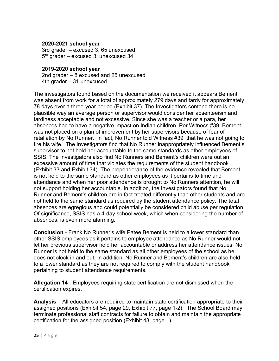#### 2020-2021 school year

3rd grader – excused 3, 65 unexcused 5 th grader – excused 3, unexcused 34

#### 2019-2020 school year

2nd grader – 8 excused and 25 unexcused 4th grader – 31 unexcused

The investigators found based on the documentation we received it appears Bement was absent from work for a total of approximately 279 days and tardy for approximately 78 days over a three-year period (Exhibit 37). The Investigators contend there is no plausible way an average person or supervisor would consider her absenteeism and tardiness acceptable and not excessive. Since she was a teacher or a para, her absences had to have a negative impact on Indian children. Per Witness #39, Bement was not placed on a plan of improvement by her supervisors because of fear of retaliation by No Runner. In fact, No Runner told Witness #39 that he was not going to fire his wife. The Investigators find that No Runner inappropriately influenced Bement's supervisor to not hold her accountable to the same standards as other employees of SSIS. The Investigators also find No Runners and Bement's children were out an excessive amount of time that violates the requirements of the student handbook (Exhibit 33 and Exhibit 34). The preponderance of the evidence revealed that Bement is not held to the same standard as other employees as it pertains to time and attendance and when her poor attendance is brought to No Runners attention, he will not support holding her accountable. In addition, the Investigators found that No Runner and Bement's children are in fact treated differently than other students and are not held to the same standard as required by the student attendance policy. The total absences are egregious and could potentially be considered child abuse per regulation. Of significance, SSIS has a 4-day school week, which when considering the number of absences, is even more alarming.

Conclusion - Frank No Runner's wife Patee Bement is held to a lower standard than other SSIS employees as it pertains to employee attendance as No Runner would not let her previous supervisor hold her accountable or address her attendance issues. No Runner is not held to the same standard as all other employees of the school as he does not clock in and out. In addition, No Runner and Bement's children are also held to a lower standard as they are not required to comply with the student handbook pertaining to student attendance requirements.

Allegation 14 - Employees requiring state certification are not dismissed when the certification expires.

Analysis – All educators are required to maintain state certification appropriate to their assigned positions (Exhibit 54, page 29, Exhibit 77, page 1-2). The School Board may terminate professional staff contracts for failure to obtain and maintain the appropriate certification for the assigned position (Exhibit 43, page 1).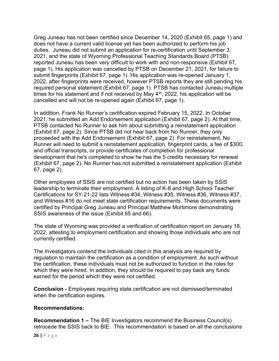Greg Juneau has not been certified since December 14, 2020 (Exhibit 65, page 1) and does not have a current valid license yet has been authorized to perform his job duties. Juneau did not submit an application for re-certification until September 3, 2021, and the state of Wyoming Professional Teaching Standards Board (PTSB) reported Juneau has been very difficult to work with and non-responsive (Exhibit 67, page 1). His application was cancelled by PTSB on December 21, 2021, for failure to submit fingerprints (Exhibit 67, page 1). His application was re-opened January 1, 2022, after fingerprints were received, however PTSB reports they are still pending his required personal statement (Exhibit 67, page 1). PTSB has contacted Juneau multiple times for his statement and if not received by May 4<sup>th</sup>, 2022, his application will be cancelled and will not be re-opened again (Exhibit 67, page 1).

In addition, Frank No Runner's certification expired February 15, 2022. In October 2021, he submitted an Add Endorsement application (Exhibit 67, page 2). At that time, PTSB contacted No Runner to ask him about submitting a reinstatement application (Exhibit 67, page 2). Since PTSB did not hear back from No Runner, they only proceeded with the Add Endorsement (Exhibit 67, page 2). For reinstatement, No Runner will need to submit a reinstatement application, fingerprint cards, a fee of \$300, and official transcripts, or provide certificates of completion for professional development that he's completed to show he has the 5 credits necessary for renewal (Exhibit 67, page 2). No Runner has not submitted a reinstatement application (Exhibit 67, page 2).

Other employees of SSIS are not certified but no action has been taken by SSIS leadership to terminate their employment. A listing of K-8 and High School Teacher Certifications for SY-21-22 lists Witness #34, Witness #35, Witness #36, Witness #37, and Witness #16 do not meet state certification requirements. These documents were certified by Principal Greg Juneau and Principal Matthew Mortimore demonstrating SSIS awareness of the issue (Exhibit 65 and 66).

The state of Wyoming was provided a verification of certification report on January 18, 2022, attesting to employment certification and showing those individuals who are not currently certified.

The Investigators contend the individuals cited in this analysis are required by regulation to maintain the certification as a condition of employment. As such without the certification, these individuals must not be authorized to function in the roles for which they were hired. In addition, they should be required to pay back any funds earned for the period which they were not certified.

Conclusion - Employees requiring state certification are not dismissed/terminated when the certification expires.

#### Recommendations:

Recommendation 1 – The BIE Investigators recommend the Business Council(s) retrocede the SSIS back to BIE. This recommendation is based on all the conclusions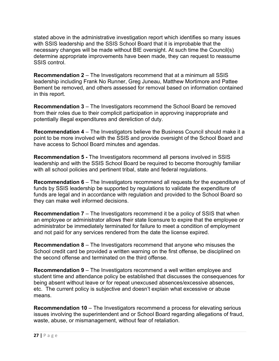stated above in the administrative investigation report which identifies so many issues with SSIS leadership and the SSIS School Board that it is improbable that the necessary changes will be made without BIE oversight. At such time the Council(s) determine appropriate improvements have been made, they can request to reassume SSIS control.

Recommendation 2 – The Investigators recommend that at a minimum all SSIS leadership including Frank No Runner, Greg Juneau, Matthew Mortimore and Pattee Bement be removed, and others assessed for removal based on information contained in this report.

Recommendation 3 – The Investigators recommend the School Board be removed from their roles due to their complicit participation in approving inappropriate and potentially illegal expenditures and dereliction of duty.

Recommendation 4 – The Investigators believe the Business Council should make it a point to be more involved with the SSIS and provide oversight of the School Board and have access to School Board minutes and agendas.

Recommendation 5 - The Investigators recommend all persons involved in SSIS leadership and with the SSIS School Board be required to become thoroughly familiar with all school policies and pertinent tribal, state and federal regulations.

Recommendation 6 – The Investigators recommend all requests for the expenditure of funds by SSIS leadership be supported by regulations to validate the expenditure of funds are legal and in accordance with regulation and provided to the School Board so they can make well informed decisions.

Recommendation 7 – The Investigators recommend it be a policy of SSIS that when an employee or administrator allows their state licensure to expire that the employee or administrator be immediately terminated for failure to meet a condition of employment and not paid for any services rendered from the date the license expired.

Recommendation 8 – The Investigators recommend that anyone who misuses the School credit card be provided a written warning on the first offense, be disciplined on the second offense and terminated on the third offense.

Recommendation 9 – The Investigators recommend a well written employee and student time and attendance policy be established that discusses the consequences for being absent without leave or for repeat unexcused absences/excessive absences, etc. The current policy is subjective and doesn't explain what excessive or abuse means.

Recommendation 10 – The Investigators recommend a process for elevating serious issues involving the superintendent and or School Board regarding allegations of fraud, waste, abuse, or mismanagement, without fear of retaliation.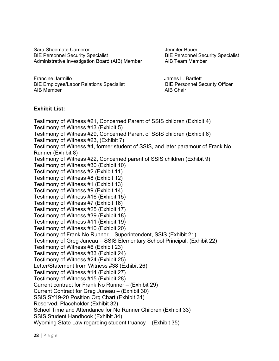Sara Shoemate Cameron **Jennifer Bauer** Jennifer Bauer BIE Personnel Security Specialist **BIE Personnel Security Specialist** Administrative Investigation Board (AIB) Member AIB Team Member

Francine Jarmillo James L. Bartlett BIE Employee/Labor Relations Specialist BIE Personnel Security Officer AIB Member **AIB Chair** 

## Exhibit List:

Testimony of Witness #21, Concerned Parent of SSIS children (Exhibit 4) Testimony of Witness #13 (Exhibit 5) Testimony of Witness #29, Concerned Parent of SSIS children (Exhibit 6) Testimony of Witness #23, (Exhibit 7) Testimony of Witness #4, former student of SSIS, and later paramour of Frank No Runner (Exhibit 8) Testimony of Witness #22, Concerned parent of SSIS children (Exhibit 9) Testimony of Witness #30 (Exhibit 10) Testimony of Witness #2 (Exhibit 11) Testimony of Witness #8 (Exhibit 12) Testimony of Witness #1 (Exhibit 13) Testimony of Witness #9 (Exhibit 14) Testimony of Witness #16 (Exhibit 15) Testimony of Witness #7 (Exhibit 16) Testimony of Witness #25 (Exhibit 17) Testimony of Witness #39 (Exhibit 18) Testimony of Witness #11 (Exhibit 19) Testimony of Witness #10 (Exhibit 20) Testimony of Frank No Runner – Superintendent, SSIS (Exhibit 21) Testimony of Greg Juneau – SSIS Elementary School Principal, (Exhibit 22) Testimony of Witness #6 (Exhibit 23) Testimony of Witness #33 (Exhibit 24) Testimony of Witness #24 (Exhibit 25) Letter/Statement from Witness #38 (Exhibit 26) Testimony of Witness #14 (Exhibit 27) Testimony of Witness #15 (Exhibit 28) Current contract for Frank No Runner – (Exhibit 29) Current Contract for Greg Juneau – (Exhibit 30) SSIS SY19-20 Position Org Chart (Exhibit 31) Reserved, Placeholder (Exhibit 32) School Time and Attendance for No Runner Children (Exhibit 33) SSIS Student Handbook (Exhibit 34) Wyoming State Law regarding student truancy – (Exhibit 35)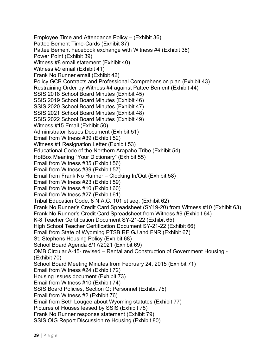Employee Time and Attendance Policy – (Exhibit 36) Pattee Bement Time-Cards (Exhibit 37) Pattee Bement Facebook exchange with Witness #4 (Exhibit 38) Power Point (Exhibit 39) Witness #8 email statement (Exhibit 40) Witness #9 email (Exhibit 41) Frank No Runner email (Exhibit 42) Policy GCB Contracts and Professional Comprehension plan (Exhibit 43) Restraining Order by Witness #4 against Pattee Bement (Exhibit 44) SSIS 2018 School Board Minutes (Exhibit 45) SSIS 2019 School Board Minutes (Exhibit 46) SSIS 2020 School Board Minutes (Exhibit 47) SSIS 2021 School Board Minutes (Exhibit 48) SSIS 2022 School Board Minutes (Exhibit 49) Witness #15 Email (Exhibit 50) Administrator Issues Document (Exhibit 51) Email from Witness #39 (Exhibit 52) Witness #1 Resignation Letter (Exhibit 53) Educational Code of the Northern Arapaho Tribe (Exhibit 54) HotBox Meaning "Your Dictionary" (Exhibit 55) Email from Witness #35 (Exhibit 56) Email from Witness #39 (Exhibit 57) Email from Frank No Runner – Clocking In/Out (Exhibit 58) Email from Witness #23 (Exhibit 59) Email from Witness #10 (Exhibit 60) Email from Witness #27 (Exhibit 61) Tribal Education Code, 8 N.A.C. 101 et seq. (Exhibit 62) Frank No Runner's Credit Card Spreadsheet (SY19-20) from Witness #10 (Exhibit 63) Frank No Runner's Credit Card Spreadsheet from Witness #9 (Exhibit 64) K-8 Teacher Certification Document SY-21-22 (Exhibit 65) High School Teacher Certification Document SY-21-22 (Exhibit 66) Email from State of Wyoming PTSB RE GJ and FNR (Exhibit 67) St. Stephens Housing Policy (Exhibit 68) School Board Agenda 8/17/2021 (Exhibit 69) OMB Circular A-45- revised – Rental and Construction of Government Housing - (Exhibit 70) School Board Meeting Minutes from February 24, 2015 (Exhibit 71) Email from Witness #24 (Exhibit 72) Housing Issues document (Exhibit 73) Email from Witness #10 (Exhibit 74) SSIS Board Policies, Section G: Personnel (Exhibit 75) Email from Witness #2 (Exhibit 76) Email from Beth Lougee about Wyoming statutes (Exhibit 77) Pictures of Houses leased by SSIS (Exhibit 78) Frank No Runner response statement (Exhibit 79) SSIS OIG Report Discussion re Housing (Exhibit 80)